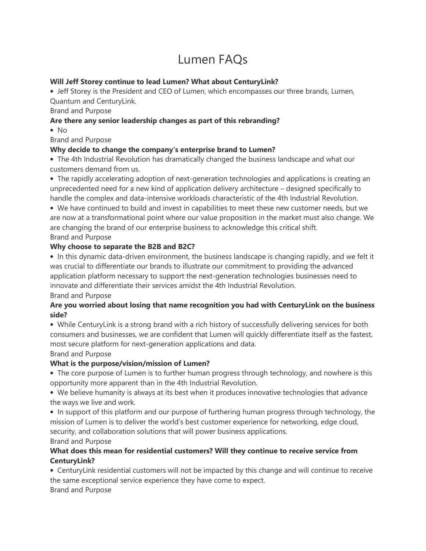# Lumen FAQs

#### **Will Jeff Storey continue to lead Lumen? What about CenturyLink?**

• Jeff Storey is the President and CEO of Lumen, which encompasses our three brands, Lumen, Quantum and CenturyLink.

#### Brand and Purpose

## **Are there any senior leadership changes as part of this rebranding?**

• No

Brand and Purpose

## **Why decide to change the company's enterprise brand to Lumen?**

• The 4th Industrial Revolution has dramatically changed the business landscape and what our customers demand from us.

• The rapidly accelerating adoption of next-generation technologies and applications is creating an unprecedented need for a new kind of application delivery architecture – designed specifically to handle the complex and data-intensive workloads characteristic of the 4th Industrial Revolution.

• We have continued to build and invest in capabilities to meet these new customer needs, but we are now at a transformational point where our value proposition in the market must also change. We are changing the brand of our enterprise business to acknowledge this critical shift. Brand and Purpose

## **Why choose to separate the B2B and B2C?**

• In this dynamic data-driven environment, the business landscape is changing rapidly, and we felt it was crucial to differentiate our brands to illustrate our commitment to providing the advanced application platform necessary to support the next-generation technologies businesses need to innovate and differentiate their services amidst the 4th Industrial Revolution. Brand and Purpose

## **Are you worried about losing that name recognition you had with CenturyLink on the business side?**

• While CenturyLink is a strong brand with a rich history of successfully delivering services for both consumers and businesses, we are confident that Lumen will quickly differentiate itself as the fastest, most secure platform for next-generation applications and data.

Brand and Purpose

# **What is the purpose/vision/mission of Lumen?**

• The core purpose of Lumen is to further human progress through technology, and nowhere is this opportunity more apparent than in the 4th Industrial Revolution.

• We believe humanity is always at its best when it produces innovative technologies that advance the ways we live and work.

• In support of this platform and our purpose of furthering human progress through technology, the mission of Lumen is to deliver the world's best customer experience for networking, edge cloud, security, and collaboration solutions that will power business applications.

#### Brand and Purpose

## **What does this mean for residential customers? Will they continue to receive service from CenturyLink?**

• CenturyLink residential customers will not be impacted by this change and will continue to receive the same exceptional service experience they have come to expect. Brand and Purpose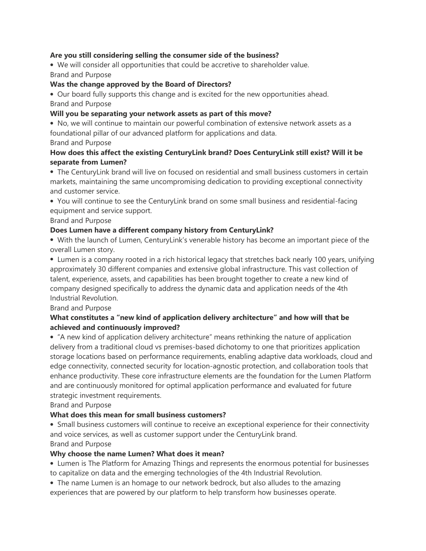#### **Are you still considering selling the consumer side of the business?**

• We will consider all opportunities that could be accretive to shareholder value. Brand and Purpose

#### **Was the change approved by the Board of Directors?**

• Our board fully supports this change and is excited for the new opportunities ahead. Brand and Purpose

#### **Will you be separating your network assets as part of this move?**

• No, we will continue to maintain our powerful combination of extensive network assets as a foundational pillar of our advanced platform for applications and data.

#### Brand and Purpose

## **How does this affect the existing CenturyLink brand? Does CenturyLink still exist? Will it be separate from Lumen?**

• The CenturyLink brand will live on focused on residential and small business customers in certain markets, maintaining the same uncompromising dedication to providing exceptional connectivity and customer service.

• You will continue to see the CenturyLink brand on some small business and residential-facing equipment and service support.

#### Brand and Purpose

#### **Does Lumen have a different company history from CenturyLink?**

• With the launch of Lumen, CenturyLink's venerable history has become an important piece of the overall Lumen story.

• Lumen is a company rooted in a rich historical legacy that stretches back nearly 100 years, unifying approximately 30 different companies and extensive global infrastructure. This vast collection of talent, experience, assets, and capabilities has been brought together to create a new kind of company designed specifically to address the dynamic data and application needs of the 4th Industrial Revolution.

#### Brand and Purpose

## **What constitutes a "new kind of application delivery architecture" and how will that be achieved and continuously improved?**

• "A new kind of application delivery architecture" means rethinking the nature of application delivery from a traditional cloud vs premises-based dichotomy to one that prioritizes application storage locations based on performance requirements, enabling adaptive data workloads, cloud and edge connectivity, connected security for location-agnostic protection, and collaboration tools that enhance productivity. These core infrastructure elements are the foundation for the Lumen Platform and are continuously monitored for optimal application performance and evaluated for future strategic investment requirements.

#### Brand and Purpose

# **What does this mean for small business customers?**

• Small business customers will continue to receive an exceptional experience for their connectivity and voice services, as well as customer support under the CenturyLink brand. Brand and Purpose

#### **Why choose the name Lumen? What does it mean?**

• Lumen is The Platform for Amazing Things and represents the enormous potential for businesses to capitalize on data and the emerging technologies of the 4th Industrial Revolution.

• The name Lumen is an homage to our network bedrock, but also alludes to the amazing experiences that are powered by our platform to help transform how businesses operate.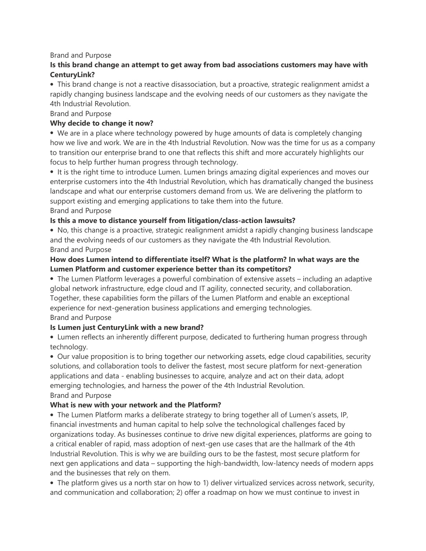#### Brand and Purpose

## **Is this brand change an attempt to get away from bad associations customers may have with CenturyLink?**

• This brand change is not a reactive disassociation, but a proactive, strategic realignment amidst a rapidly changing business landscape and the evolving needs of our customers as they navigate the 4th Industrial Revolution.

Brand and Purpose

#### **Why decide to change it now?**

• We are in a place where technology powered by huge amounts of data is completely changing how we live and work. We are in the 4th Industrial Revolution. Now was the time for us as a company to transition our enterprise brand to one that reflects this shift and more accurately highlights our focus to help further human progress through technology.

• It is the right time to introduce Lumen. Lumen brings amazing digital experiences and moves our enterprise customers into the 4th Industrial Revolution, which has dramatically changed the business landscape and what our enterprise customers demand from us. We are delivering the platform to support existing and emerging applications to take them into the future. Brand and Purpose

#### **Is this a move to distance yourself from litigation/class-action lawsuits?**

• No, this change is a proactive, strategic realignment amidst a rapidly changing business landscape and the evolving needs of our customers as they navigate the 4th Industrial Revolution. Brand and Purpose

#### **How does Lumen intend to differentiate itself? What is the platform? In what ways are the Lumen Platform and customer experience better than its competitors?**

• The Lumen Platform leverages a powerful combination of extensive assets – including an adaptive global network infrastructure, edge cloud and IT agility, connected security, and collaboration. Together, these capabilities form the pillars of the Lumen Platform and enable an exceptional experience for next-generation business applications and emerging technologies. Brand and Purpose

#### **Is Lumen just CenturyLink with a new brand?**

• Lumen reflects an inherently different purpose, dedicated to furthering human progress through technology.

• Our value proposition is to bring together our networking assets, edge cloud capabilities, security solutions, and collaboration tools to deliver the fastest, most secure platform for next-generation applications and data - enabling businesses to acquire, analyze and act on their data, adopt emerging technologies, and harness the power of the 4th Industrial Revolution. Brand and Purpose

# **What is new with your network and the Platform?**

• The Lumen Platform marks a deliberate strategy to bring together all of Lumen's assets, IP, financial investments and human capital to help solve the technological challenges faced by organizations today. As businesses continue to drive new digital experiences, platforms are going to a critical enabler of rapid, mass adoption of next-gen use cases that are the hallmark of the 4th Industrial Revolution. This is why we are building ours to be the fastest, most secure platform for next gen applications and data – supporting the high-bandwidth, low-latency needs of modern apps and the businesses that rely on them.

• The platform gives us a north star on how to 1) deliver virtualized services across network, security, and communication and collaboration; 2) offer a roadmap on how we must continue to invest in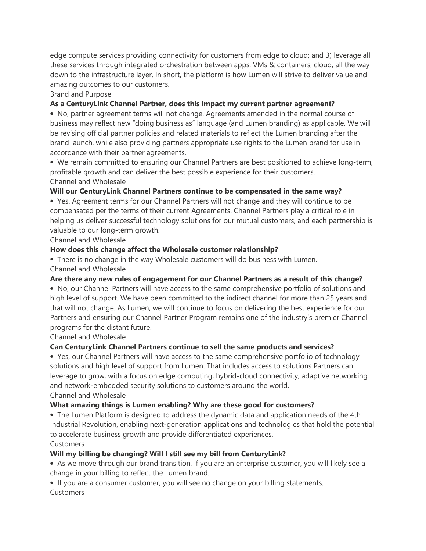edge compute services providing connectivity for customers from edge to cloud; and 3) leverage all these services through integrated orchestration between apps, VMs & containers, cloud, all the way down to the infrastructure layer. In short, the platform is how Lumen will strive to deliver value and amazing outcomes to our customers.

Brand and Purpose

## **As a CenturyLink Channel Partner, does this impact my current partner agreement?**

• No, partner agreement terms will not change. Agreements amended in the normal course of business may reflect new "doing business as" language (and Lumen branding) as applicable. We will be revising official partner policies and related materials to reflect the Lumen branding after the brand launch, while also providing partners appropriate use rights to the Lumen brand for use in accordance with their partner agreements.

• We remain committed to ensuring our Channel Partners are best positioned to achieve long-term, profitable growth and can deliver the best possible experience for their customers. Channel and Wholesale

# **Will our CenturyLink Channel Partners continue to be compensated in the same way?**

• Yes. Agreement terms for our Channel Partners will not change and they will continue to be compensated per the terms of their current Agreements. Channel Partners play a critical role in helping us deliver successful technology solutions for our mutual customers, and each partnership is valuable to our long-term growth.

Channel and Wholesale

#### **How does this change affect the Wholesale customer relationship?**

• There is no change in the way Wholesale customers will do business with Lumen. Channel and Wholesale

#### **Are there any new rules of engagement for our Channel Partners as a result of this change?**

• No, our Channel Partners will have access to the same comprehensive portfolio of solutions and high level of support. We have been committed to the indirect channel for more than 25 years and that will not change. As Lumen, we will continue to focus on delivering the best experience for our Partners and ensuring our Channel Partner Program remains one of the industry's premier Channel programs for the distant future.

Channel and Wholesale

#### **Can CenturyLink Channel Partners continue to sell the same products and services?**

• Yes, our Channel Partners will have access to the same comprehensive portfolio of technology solutions and high level of support from Lumen. That includes access to solutions Partners can leverage to grow, with a focus on edge computing, hybrid-cloud connectivity, adaptive networking and network-embedded security solutions to customers around the world. Channel and Wholesale

#### **What amazing things is Lumen enabling? Why are these good for customers?**

• The Lumen Platform is designed to address the dynamic data and application needs of the 4th Industrial Revolution, enabling next-generation applications and technologies that hold the potential to accelerate business growth and provide differentiated experiences.

**Customers** 

#### **Will my billing be changing? Will I still see my bill from CenturyLink?**

• As we move through our brand transition, if you are an enterprise customer, you will likely see a change in your billing to reflect the Lumen brand.

• If you are a consumer customer, you will see no change on your billing statements. **Customers**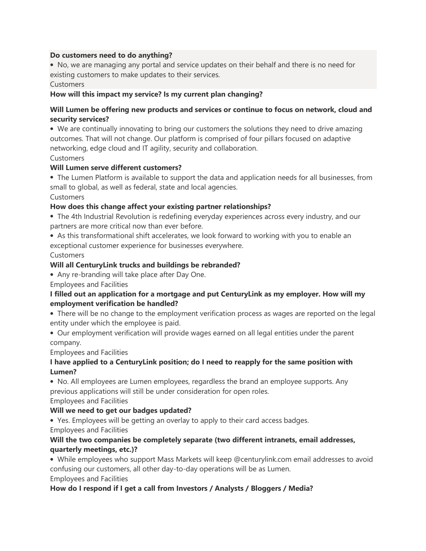#### **Do customers need to do anything?**

• No, we are managing any portal and service updates on their behalf and there is no need for existing customers to make updates to their services.

**Customers** 

#### **How will this impact my service? Is my current plan changing?**

#### **Will Lumen be offering new products and services or continue to focus on network, cloud and security services?**

• We are continually innovating to bring our customers the solutions they need to drive amazing outcomes. That will not change. Our platform is comprised of four pillars focused on adaptive networking, edge cloud and IT agility, security and collaboration.

**Customers** 

#### **Will Lumen serve different customers?**

• The Lumen Platform is available to support the data and application needs for all businesses, from small to global, as well as federal, state and local agencies.

Customers

#### **How does this change affect your existing partner relationships?**

- The 4th Industrial Revolution is redefining everyday experiences across every industry, and our partners are more critical now than ever before.
- As this transformational shift accelerates, we look forward to working with you to enable an exceptional customer experience for businesses everywhere.

**Customers** 

#### **Will all CenturyLink trucks and buildings be rebranded?**

• Any re-branding will take place after Day One.

Employees and Facilities

#### **I filled out an application for a mortgage and put CenturyLink as my employer. How will my employment verification be handled?**

- There will be no change to the employment verification process as wages are reported on the legal entity under which the employee is paid.
- Our employment verification will provide wages earned on all legal entities under the parent company.

Employees and Facilities

# **I have applied to a CenturyLink position; do I need to reapply for the same position with Lumen?**

• No. All employees are Lumen employees, regardless the brand an employee supports. Any previous applications will still be under consideration for open roles. Employees and Facilities

#### **Will we need to get our badges updated?**

• Yes. Employees will be getting an overlay to apply to their card access badges. Employees and Facilities

## **Will the two companies be completely separate (two different intranets, email addresses, quarterly meetings, etc.)?**

• While employees who support Mass Markets will keep @centurylink.com email addresses to avoid confusing our customers, all other day-to-day operations will be as Lumen. Employees and Facilities

#### **How do I respond if I get a call from Investors / Analysts / Bloggers / Media?**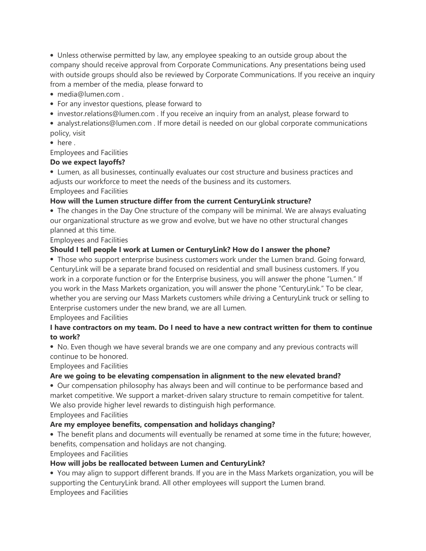• Unless otherwise permitted by law, any employee speaking to an outside group about the company should receive approval from Corporate Communications. Any presentations being used with outside groups should also be reviewed by Corporate Communications. If you receive an inquiry from a member of the media, please forward to

- $\bullet$  media@lumen.com
- For any investor questions, please forward to
- investor.relations@lumen.com . If you receive an inquiry from an analyst, please forward to
- analyst.relations@lumen.com . If more detail is needed on our global corporate communications policy, visit
- here.

Employees and Facilities

## **Do we expect layoffs?**

• Lumen, as all businesses, continually evaluates our cost structure and business practices and adjusts our workforce to meet the needs of the business and its customers. Employees and Facilities

# **How will the Lumen structure differ from the current CenturyLink structure?**

• The changes in the Day One structure of the company will be minimal. We are always evaluating our organizational structure as we grow and evolve, but we have no other structural changes planned at this time.

Employees and Facilities

# **Should I tell people I work at Lumen or CenturyLink? How do I answer the phone?**

• Those who support enterprise business customers work under the Lumen brand. Going forward, CenturyLink will be a separate brand focused on residential and small business customers. If you work in a corporate function or for the Enterprise business, you will answer the phone "Lumen." If you work in the Mass Markets organization, you will answer the phone "CenturyLink." To be clear, whether you are serving our Mass Markets customers while driving a CenturyLink truck or selling to Enterprise customers under the new brand, we are all Lumen.

Employees and Facilities

## **I have contractors on my team. Do I need to have a new contract written for them to continue to work?**

• No. Even though we have several brands we are one company and any previous contracts will continue to be honored.

Employees and Facilities

# **Are we going to be elevating compensation in alignment to the new elevated brand?**

• Our compensation philosophy has always been and will continue to be performance based and market competitive. We support a market-driven salary structure to remain competitive for talent. We also provide higher level rewards to distinguish high performance.

Employees and Facilities

# **Are my employee benefits, compensation and holidays changing?**

• The benefit plans and documents will eventually be renamed at some time in the future; however, benefits, compensation and holidays are not changing.

Employees and Facilities

#### **How will jobs be reallocated between Lumen and CenturyLink?**

• You may align to support different brands. If you are in the Mass Markets organization, you will be supporting the CenturyLink brand. All other employees will support the Lumen brand. Employees and Facilities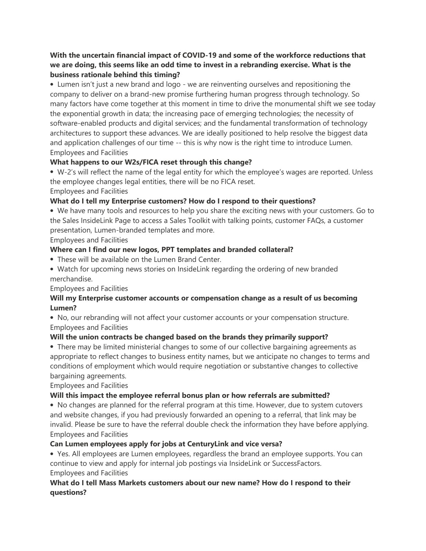## **With the uncertain financial impact of COVID-19 and some of the workforce reductions that we are doing, this seems like an odd time to invest in a rebranding exercise. What is the business rationale behind this timing?**

• Lumen isn't just a new brand and logo - we are reinventing ourselves and repositioning the company to deliver on a brand-new promise furthering human progress through technology. So many factors have come together at this moment in time to drive the monumental shift we see today the exponential growth in data; the increasing pace of emerging technologies; the necessity of software-enabled products and digital services; and the fundamental transformation of technology architectures to support these advances. We are ideally positioned to help resolve the biggest data and application challenges of our time -- this is why now is the right time to introduce Lumen. Employees and Facilities

# **What happens to our W2s/FICA reset through this change?**

• W-2's will reflect the name of the legal entity for which the employee's wages are reported. Unless the employee changes legal entities, there will be no FICA reset.

Employees and Facilities

# **What do I tell my Enterprise customers? How do I respond to their questions?**

• We have many tools and resources to help you share the exciting news with your customers. Go to the Sales InsideLink Page to access a Sales Toolkit with talking points, customer FAQs, a customer presentation, Lumen-branded templates and more.

Employees and Facilities

# **Where can I find our new logos, PPT templates and branded collateral?**

- These will be available on the Lumen Brand Center.
- Watch for upcoming news stories on InsideLink regarding the ordering of new branded merchandise.

Employees and Facilities

# **Will my Enterprise customer accounts or compensation change as a result of us becoming Lumen?**

• No, our rebranding will not affect your customer accounts or your compensation structure. Employees and Facilities

# **Will the union contracts be changed based on the brands they primarily support?**

• There may be limited ministerial changes to some of our collective bargaining agreements as appropriate to reflect changes to business entity names, but we anticipate no changes to terms and conditions of employment which would require negotiation or substantive changes to collective bargaining agreements.

Employees and Facilities

# **Will this impact the employee referral bonus plan or how referrals are submitted?**

• No changes are planned for the referral program at this time. However, due to system cutovers and website changes, if you had previously forwarded an opening to a referral, that link may be invalid. Please be sure to have the referral double check the information they have before applying. Employees and Facilities

# **Can Lumen employees apply for jobs at CenturyLink and vice versa?**

• Yes. All employees are Lumen employees, regardless the brand an employee supports. You can continue to view and apply for internal job postings via InsideLink or SuccessFactors. Employees and Facilities

# **What do I tell Mass Markets customers about our new name? How do I respond to their questions?**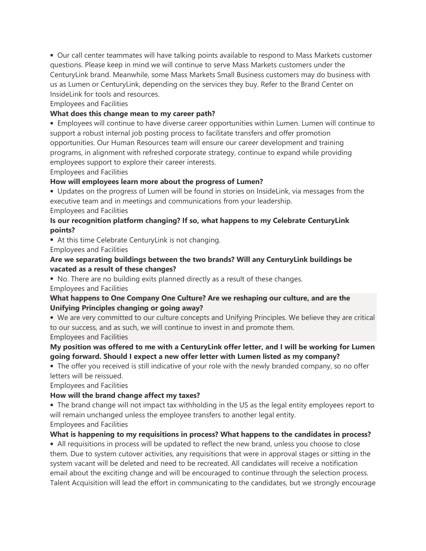• Our call center teammates will have talking points available to respond to Mass Markets customer questions. Please keep in mind we will continue to serve Mass Markets customers under the CenturyLink brand. Meanwhile, some Mass Markets Small Business customers may do business with us as Lumen or CenturyLink, depending on the services they buy. Refer to the Brand Center on InsideLink for tools and resources.

Employees and Facilities

#### **What does this change mean to my career path?**

• Employees will continue to have diverse career opportunities within Lumen. Lumen will continue to support a robust internal job posting process to facilitate transfers and offer promotion opportunities. Our Human Resources team will ensure our career development and training programs, in alignment with refreshed corporate strategy, continue to expand while providing employees support to explore their career interests.

Employees and Facilities

## **How will employees learn more about the progress of Lumen?**

• Updates on the progress of Lumen will be found in stories on InsideLink, via messages from the executive team and in meetings and communications from your leadership.

Employees and Facilities

#### **Is our recognition platform changing? If so, what happens to my Celebrate CenturyLink points?**

• At this time Celebrate CenturyLink is not changing.

Employees and Facilities

## **Are we separating buildings between the two brands? Will any CenturyLink buildings be vacated as a result of these changes?**

• No. There are no building exits planned directly as a result of these changes. Employees and Facilities

## **What happens to One Company One Culture? Are we reshaping our culture, and are the Unifying Principles changing or going away?**

• We are very committed to our culture concepts and Unifying Principles. We believe they are critical to our success, and as such, we will continue to invest in and promote them. Employees and Facilities

# **My position was offered to me with a CenturyLink offer letter, and I will be working for Lumen going forward. Should I expect a new offer letter with Lumen listed as my company?**

• The offer you received is still indicative of your role with the newly branded company, so no offer letters will be reissued.

Employees and Facilities

# **How will the brand change affect my taxes?**

• The brand change will not impact tax withholding in the US as the legal entity employees report to will remain unchanged unless the employee transfers to another legal entity.

Employees and Facilities

# **What is happening to my requisitions in process? What happens to the candidates in process?**

• All requisitions in process will be updated to reflect the new brand, unless you choose to close them. Due to system cutover activities, any requisitions that were in approval stages or sitting in the system vacant will be deleted and need to be recreated. All candidates will receive a notification email about the exciting change and will be encouraged to continue through the selection process. Talent Acquisition will lead the effort in communicating to the candidates, but we strongly encourage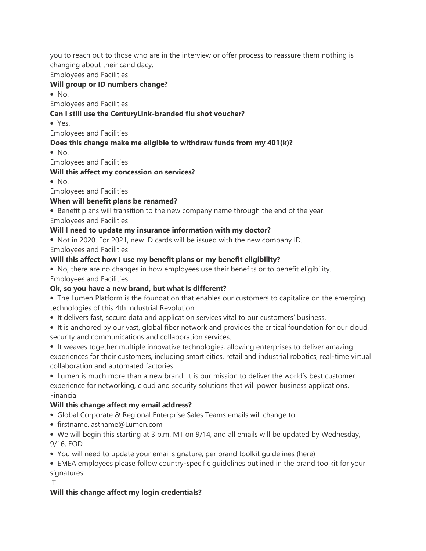you to reach out to those who are in the interview or offer process to reassure them nothing is changing about their candidacy.

Employees and Facilities

## **Will group or ID numbers change?**

 $\bullet$  No.

Employees and Facilities

# **Can I still use the CenturyLink-branded flu shot voucher?**

• Yes.

Employees and Facilities

# **Does this change make me eligible to withdraw funds from my 401(k)?**

 $\bullet$  No.

Employees and Facilities

# **Will this affect my concession on services?**

 $\bullet$  No.

Employees and Facilities

# **When will benefit plans be renamed?**

• Benefit plans will transition to the new company name through the end of the year. Employees and Facilities

# **Will I need to update my insurance information with my doctor?**

• Not in 2020. For 2021, new ID cards will be issued with the new company ID.

Employees and Facilities

# **Will this affect how I use my benefit plans or my benefit eligibility?**

• No, there are no changes in how employees use their benefits or to benefit eligibility. Employees and Facilities

# **Ok, so you have a new brand, but what is different?**

• The Lumen Platform is the foundation that enables our customers to capitalize on the emerging technologies of this 4th Industrial Revolution.

• It delivers fast, secure data and application services vital to our customers' business.

• It is anchored by our vast, global fiber network and provides the critical foundation for our cloud, security and communications and collaboration services.

• It weaves together multiple innovative technologies, allowing enterprises to deliver amazing experiences for their customers, including smart cities, retail and industrial robotics, real-time virtual collaboration and automated factories.

• Lumen is much more than a new brand. It is our mission to deliver the world's best customer experience for networking, cloud and security solutions that will power business applications. Financial

# **Will this change affect my email address?**

- Global Corporate & Regional Enterprise Sales Teams emails will change to
- firstname.lastname@Lumen.com

• We will begin this starting at 3 p.m. MT on 9/14, and all emails will be updated by Wednesday, 9/16, EOD

• You will need to update your email signature, per brand toolkit guidelines (here)

• EMEA employees please follow country-specific guidelines outlined in the brand toolkit for your signatures

IT

# **Will this change affect my login credentials?**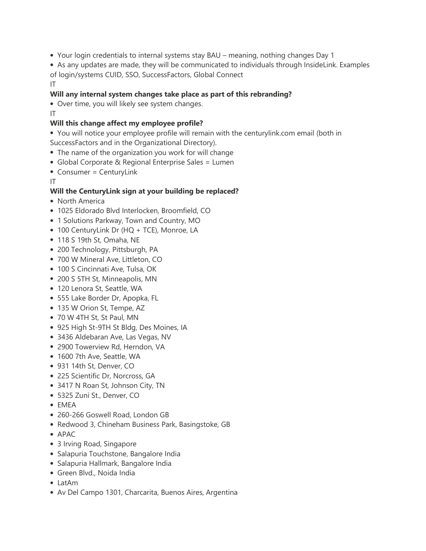- Your login credentials to internal systems stay BAU meaning, nothing changes Day 1
- As any updates are made, they will be communicated to individuals through InsideLink. Examples of login/systems CUID, SSO, SuccessFactors, Global Connect

IT

# **Will any internal system changes take place as part of this rebranding?**

• Over time, you will likely see system changes.

IT

# **Will this change affect my employee profile?**

- You will notice your employee profile will remain with the centurylink.com email (both in SuccessFactors and in the Organizational Directory).
- The name of the organization you work for will change
- Global Corporate & Regional Enterprise Sales = Lumen
- Consumer = CenturyLink
- IT

# **Will the CenturyLink sign at your building be replaced?**

- North America
- 1025 Eldorado Blvd Interlocken, Broomfield, CO
- 1 Solutions Parkway, Town and Country, MO
- 100 CenturyLink Dr (HQ + TCE), Monroe, LA
- 118 S 19th St, Omaha, NE
- 200 Technology, Pittsburgh, PA
- 700 W Mineral Ave, Littleton, CO
- 100 S Cincinnati Ave, Tulsa, OK
- 200 S 5TH St, Minneapolis, MN
- 120 Lenora St, Seattle, WA
- 555 Lake Border Dr, Apopka, FL
- 135 W Orion St, Tempe, AZ
- 70 W 4TH St, St Paul, MN
- 925 High St-9TH St Bldg, Des Moines, IA
- 3436 Aldebaran Ave, Las Vegas, NV
- 2900 Towerview Rd, Herndon, VA
- 1600 7th Ave, Seattle, WA
- 931 14th St, Denver, CO
- 225 Scientific Dr, Norcross, GA
- 3417 N Roan St, Johnson City, TN
- 5325 Zuni St., Denver, CO
- EMEA
- 260-266 Goswell Road, London GB
- Redwood 3, Chineham Business Park, Basingstoke, GB
- APAC
- 3 Irving Road, Singapore
- Salapuria Touchstone, Bangalore India
- Salapuria Hallmark, Bangalore India
- Green Blvd., Noida India
- LatAm
- Av Del Campo 1301, Charcarita, Buenos Aires, Argentina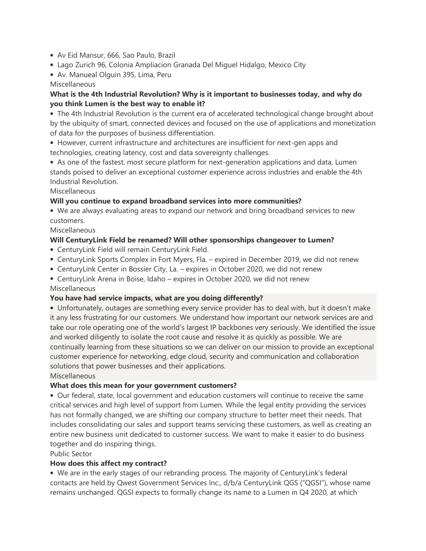- Av Eid Mansur, 666, Sao Paulo, Brazil
- Lago Zurich 96, Colonia Ampliacion Granada Del Miguel Hidalgo, Mexico City
- Av. Manueal Olguin 395, Lima, Peru

## Miscellaneous

## **What is the 4th Industrial Revolution? Why is it important to businesses today, and why do you think Lumen is the best way to enable it?**

• The 4th Industrial Revolution is the current era of accelerated technological change brought about by the ubiquity of smart, connected devices and focused on the use of applications and monetization of data for the purposes of business differentiation.

- However, current infrastructure and architectures are insufficient for next-gen apps and technologies, creating latency, cost and data sovereignty challenges.
- As one of the fastest, most secure platform for next-generation applications and data, Lumen stands poised to deliver an exceptional customer experience across industries and enable the 4th Industrial Revolution.

#### Miscellaneous

## **Will you continue to expand broadband services into more communities?**

• We are always evaluating areas to expand our network and bring broadband services to new customers.

#### Miscellaneous

## **Will CenturyLink Field be renamed? Will other sponsorships changeover to Lumen?**

- CenturyLink Field will remain CenturyLink Field.
- CenturyLink Sports Complex in Fort Myers, Fla. expired in December 2019, we did not renew
- CenturyLink Center in Bossier City, La. expires in October 2020, we did not renew
- CenturyLink Arena in Boise, Idaho expires in October 2020, we did not renew Miscellaneous

#### **You have had service impacts, what are you doing differently?**

• Unfortunately, outages are something every service provider has to deal with, but it doesn't make it any less frustrating for our customers. We understand how important our network services are and take our role operating one of the world's largest IP backbones very seriously. We identified the issue and worked diligently to isolate the root cause and resolve it as quickly as possible. We are continually learning from these situations so we can deliver on our mission to provide an exceptional customer experience for networking, edge cloud, security and communication and collaboration solutions that power businesses and their applications.

Miscellaneous

#### **What does this mean for your government customers?**

• Our federal, state, local government and education customers will continue to receive the same critical services and high level of support from Lumen. While the legal entity providing the services has not formally changed, we are shifting our company structure to better meet their needs. That includes consolidating our sales and support teams servicing these customers, as well as creating an entire new business unit dedicated to customer success. We want to make it easier to do business together and do inspiring things.

Public Sector

#### **How does this affect my contract?**

• We are in the early stages of our rebranding process. The majority of CenturyLink's federal contacts are held by Qwest Government Services Inc., d/b/a CenturyLink QGS ("QGSI"), whose name remains unchanged. QGSI expects to formally change its name to a Lumen in Q4 2020, at which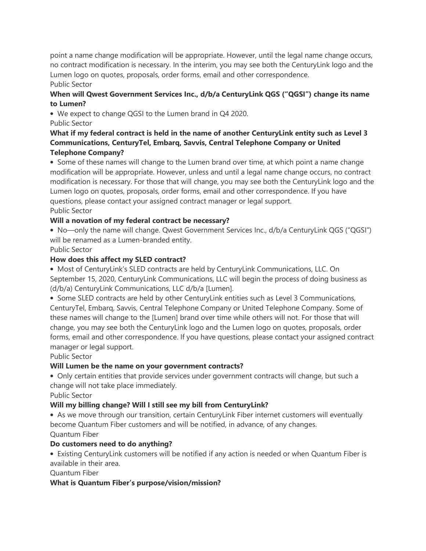point a name change modification will be appropriate. However, until the legal name change occurs, no contract modification is necessary. In the interim, you may see both the CenturyLink logo and the Lumen logo on quotes, proposals, order forms, email and other correspondence.

#### Public Sector

# **When will Qwest Government Services Inc., d/b/a CenturyLink QGS ("QGSI") change its name to Lumen?**

• We expect to change QGSI to the Lumen brand in Q4 2020.

Public Sector

# **What if my federal contract is held in the name of another CenturyLink entity such as Level 3 Communications, CenturyTel, Embarq, Savvis, Central Telephone Company or United Telephone Company?**

• Some of these names will change to the Lumen brand over time, at which point a name change modification will be appropriate. However, unless and until a legal name change occurs, no contract modification is necessary. For those that will change, you may see both the CenturyLink logo and the Lumen logo on quotes, proposals, order forms, email and other correspondence. If you have questions, please contact your assigned contract manager or legal support.

Public Sector

# **Will a novation of my federal contract be necessary?**

• No—only the name will change. Qwest Government Services Inc., d/b/a CenturyLink QGS ("QGSI") will be renamed as a Lumen-branded entity.

Public Sector

# **How does this affect my SLED contract?**

• Most of CenturyLink's SLED contracts are held by CenturyLink Communications, LLC. On September 15, 2020, CenturyLink Communications, LLC will begin the process of doing business as (d/b/a) CenturyLink Communications, LLC d/b/a [Lumen].

• Some SLED contracts are held by other CenturyLink entities such as Level 3 Communications, CenturyTel, Embarq, Savvis, Central Telephone Company or United Telephone Company. Some of these names will change to the [Lumen] brand over time while others will not. For those that will change, you may see both the CenturyLink logo and the Lumen logo on quotes, proposals, order forms, email and other correspondence. If you have questions, please contact your assigned contract manager or legal support.

Public Sector

# **Will Lumen be the name on your government contracts?**

• Only certain entities that provide services under government contracts will change, but such a change will not take place immediately.

Public Sector

# **Will my billing change? Will I still see my bill from CenturyLink?**

• As we move through our transition, certain CenturyLink Fiber internet customers will eventually become Quantum Fiber customers and will be notified, in advance, of any changes. Quantum Fiber

# **Do customers need to do anything?**

• Existing CenturyLink customers will be notified if any action is needed or when Quantum Fiber is available in their area.

Quantum Fiber

# **What is Quantum Fiber's purpose/vision/mission?**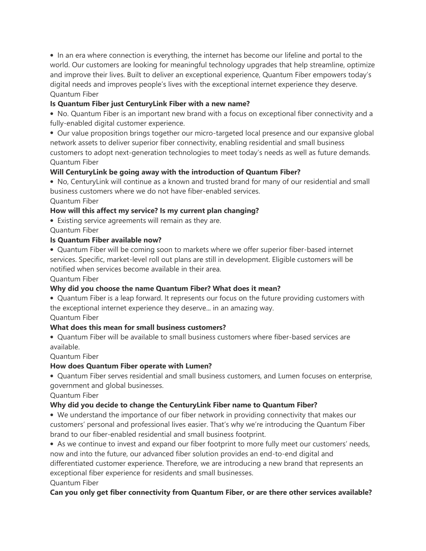• In an era where connection is everything, the internet has become our lifeline and portal to the world. Our customers are looking for meaningful technology upgrades that help streamline, optimize and improve their lives. Built to deliver an exceptional experience, Quantum Fiber empowers today's digital needs and improves people's lives with the exceptional internet experience they deserve. Quantum Fiber

# **Is Quantum Fiber just CenturyLink Fiber with a new name?**

• No. Quantum Fiber is an important new brand with a focus on exceptional fiber connectivity and a fully-enabled digital customer experience.

• Our value proposition brings together our micro-targeted local presence and our expansive global network assets to deliver superior fiber connectivity, enabling residential and small business customers to adopt next-generation technologies to meet today's needs as well as future demands. Quantum Fiber

# **Will CenturyLink be going away with the introduction of Quantum Fiber?**

• No, CenturyLink will continue as a known and trusted brand for many of our residential and small business customers where we do not have fiber-enabled services.

Quantum Fiber

# **How will this affect my service? Is my current plan changing?**

• Existing service agreements will remain as they are.

Quantum Fiber

## **Is Quantum Fiber available now?**

• Quantum Fiber will be coming soon to markets where we offer superior fiber-based internet services. Specific, market-level roll out plans are still in development. Eligible customers will be notified when services become available in their area.

Quantum Fiber

# **Why did you choose the name Quantum Fiber? What does it mean?**

• Quantum Fiber is a leap forward. It represents our focus on the future providing customers with the exceptional internet experience they deserve... in an amazing way.

Quantum Fiber

# **What does this mean for small business customers?**

• Quantum Fiber will be available to small business customers where fiber-based services are available.

Quantum Fiber

# **How does Quantum Fiber operate with Lumen?**

• Quantum Fiber serves residential and small business customers, and Lumen focuses on enterprise, government and global businesses.

Quantum Fiber

# **Why did you decide to change the CenturyLink Fiber name to Quantum Fiber?**

• We understand the importance of our fiber network in providing connectivity that makes our customers' personal and professional lives easier. That's why we're introducing the Quantum Fiber brand to our fiber-enabled residential and small business footprint.

• As we continue to invest and expand our fiber footprint to more fully meet our customers' needs, now and into the future, our advanced fiber solution provides an end-to-end digital and differentiated customer experience. Therefore, we are introducing a new brand that represents an exceptional fiber experience for residents and small businesses. Quantum Fiber

# **Can you only get fiber connectivity from Quantum Fiber, or are there other services available?**